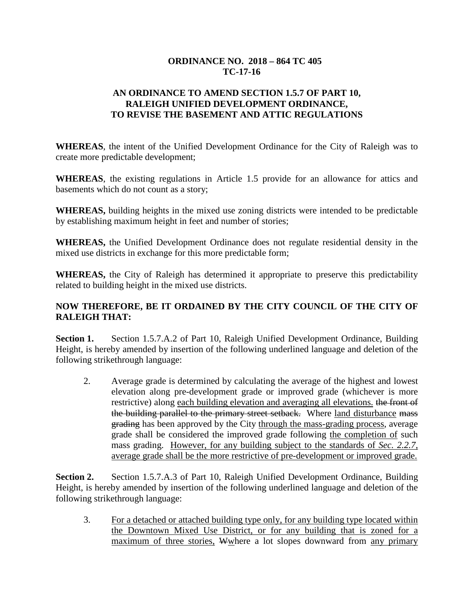### **ORDINANCE NO. 2018 – 864 TC 405 TC-17-16**

### **AN ORDINANCE TO AMEND SECTION 1.5.7 OF PART 10, RALEIGH UNIFIED DEVELOPMENT ORDINANCE, TO REVISE THE BASEMENT AND ATTIC REGULATIONS**

**WHEREAS**, the intent of the Unified Development Ordinance for the City of Raleigh was to create more predictable development;

**WHEREAS**, the existing regulations in Article 1.5 provide for an allowance for attics and basements which do not count as a story;

**WHEREAS,** building heights in the mixed use zoning districts were intended to be predictable by establishing maximum height in feet and number of stories;

**WHEREAS,** the Unified Development Ordinance does not regulate residential density in the mixed use districts in exchange for this more predictable form;

**WHEREAS,** the City of Raleigh has determined it appropriate to preserve this predictability related to building height in the mixed use districts.

## **NOW THEREFORE, BE IT ORDAINED BY THE CITY COUNCIL OF THE CITY OF RALEIGH THAT:**

**Section 1.** Section 1.5.7.A.2 of Part 10, Raleigh Unified Development Ordinance, Building Height, is hereby amended by insertion of the following underlined language and deletion of the following strikethrough language:

2. Average grade is determined by calculating the average of the highest and lowest elevation along pre-development grade or improved grade (whichever is more restrictive) along each building elevation and averaging all elevations. the front of the building parallel to the primary street setback. Where land disturbance mass grading has been approved by the City through the mass-grading process, average grade shall be considered the improved grade following the completion of such mass grading. However, for any building subject to the standards of *Sec. 2.2.7*, average grade shall be the more restrictive of pre-development or improved grade.

**Section 2.** Section 1.5.7.A.3 of Part 10, Raleigh Unified Development Ordinance, Building Height, is hereby amended by insertion of the following underlined language and deletion of the following strikethrough language:

3. For a detached or attached building type only, for any building type located within the Downtown Mixed Use District, or for any building that is zoned for a maximum of three stories, Wwhere a lot slopes downward from any primary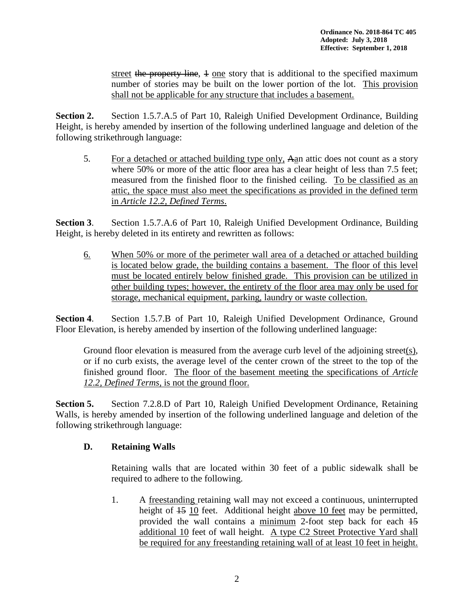street the property line, 4 one story that is additional to the specified maximum number of stories may be built on the lower portion of the lot. This provision shall not be applicable for any structure that includes a basement.

**Section 2.** Section 1.5.7.A.5 of Part 10, Raleigh Unified Development Ordinance, Building Height, is hereby amended by insertion of the following underlined language and deletion of the following strikethrough language:

5. For a detached or attached building type only, Aan attic does not count as a story where 50% or more of the attic floor area has a clear height of less than 7.5 feet; measured from the finished floor to the finished ceiling. To be classified as an attic, the space must also meet the specifications as provided in the defined term in *Article 12.2, Defined Terms*.

**Section 3**. Section 1.5.7.A.6 of Part 10, Raleigh Unified Development Ordinance, Building Height, is hereby deleted in its entirety and rewritten as follows:

6. When 50% or more of the perimeter wall area of a detached or attached building is located below grade, the building contains a basement. The floor of this level must be located entirely below finished grade. This provision can be utilized in other building types; however, the entirety of the floor area may only be used for storage, mechanical equipment, parking, laundry or waste collection.

**Section 4**. Section 1.5.7.B of Part 10, Raleigh Unified Development Ordinance, Ground Floor Elevation, is hereby amended by insertion of the following underlined language:

Ground floor elevation is measured from the average curb level of the adjoining street(s), or if no curb exists, the average level of the center crown of the street to the top of the finished ground floor. The floor of the basement meeting the specifications of *Article 12.2, Defined Terms,* is not the ground floor.

**Section 5.** Section 7.2.8.D of Part 10, Raleigh Unified Development Ordinance, Retaining Walls, is hereby amended by insertion of the following underlined language and deletion of the following strikethrough language:

### **D. Retaining Walls**

Retaining walls that are located within 30 feet of a public sidewalk shall be required to adhere to the following.

1. A freestanding retaining wall may not exceed a continuous, uninterrupted height of  $15$  10 feet. Additional height above 10 feet may be permitted, provided the wall contains a minimum 2-foot step back for each 15 additional 10 feet of wall height. A type C2 Street Protective Yard shall be required for any freestanding retaining wall of at least 10 feet in height.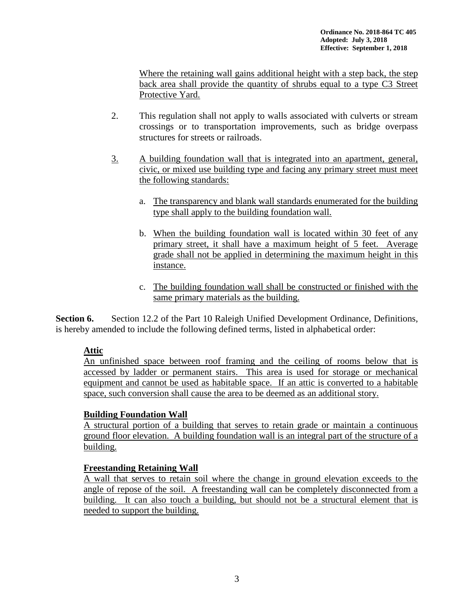Where the retaining wall gains additional height with a step back, the step back area shall provide the quantity of shrubs equal to a type C3 Street Protective Yard.

- 2. This regulation shall not apply to walls associated with culverts or stream crossings or to transportation improvements, such as bridge overpass structures for streets or railroads.
- 3. A building foundation wall that is integrated into an apartment, general, civic, or mixed use building type and facing any primary street must meet the following standards:
	- a. The transparency and blank wall standards enumerated for the building type shall apply to the building foundation wall.
	- b. When the building foundation wall is located within 30 feet of any primary street, it shall have a maximum height of 5 feet. Average grade shall not be applied in determining the maximum height in this instance.
	- c. The building foundation wall shall be constructed or finished with the same primary materials as the building.

**Section 6.** Section 12.2 of the Part 10 Raleigh Unified Development Ordinance, Definitions, is hereby amended to include the following defined terms, listed in alphabetical order:

# **Attic**

An unfinished space between roof framing and the ceiling of rooms below that is accessed by ladder or permanent stairs. This area is used for storage or mechanical equipment and cannot be used as habitable space. If an attic is converted to a habitable space, such conversion shall cause the area to be deemed as an additional story.

### **Building Foundation Wall**

A structural portion of a building that serves to retain grade or maintain a continuous ground floor elevation. A building foundation wall is an integral part of the structure of a building.

### **Freestanding Retaining Wall**

A wall that serves to retain soil where the change in ground elevation exceeds to the angle of repose of the soil. A freestanding wall can be completely disconnected from a building. It can also touch a building, but should not be a structural element that is needed to support the building.